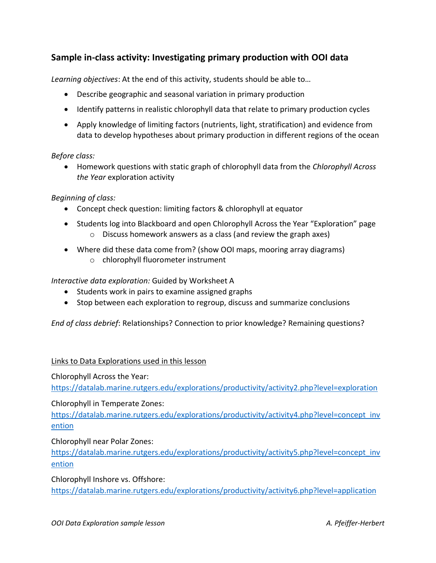# **Sample in-class activity: Investigating primary production with OOI data**

*Learning objectives*: At the end of this activity, students should be able to…

- Describe geographic and seasonal variation in primary production
- Identify patterns in realistic chlorophyll data that relate to primary production cycles
- Apply knowledge of limiting factors (nutrients, light, stratification) and evidence from data to develop hypotheses about primary production in different regions of the ocean

#### *Before class:*

• Homework questions with static graph of chlorophyll data from the *Chlorophyll Across the Year* exploration activity

*Beginning of class:*

- Concept check question: limiting factors & chlorophyll at equator
- Students log into Blackboard and open Chlorophyll Across the Year "Exploration" page o Discuss homework answers as a class (and review the graph axes)
- Where did these data come from? (show OOI maps, mooring array diagrams)
	- o chlorophyll fluorometer instrument

*Interactive data exploration:* Guided by Worksheet A

- Students work in pairs to examine assigned graphs
- Stop between each exploration to regroup, discuss and summarize conclusions

*End of class debrief*: Relationships? Connection to prior knowledge? Remaining questions?

### Links to Data Explorations used in this lesson

Chlorophyll Across the Year:

<https://datalab.marine.rutgers.edu/explorations/productivity/activity2.php?level=exploration>

#### Chlorophyll in Temperate Zones:

[https://datalab.marine.rutgers.edu/explorations/productivity/activity4.php?level=concept\\_inv](https://datalab.marine.rutgers.edu/explorations/productivity/activity4.php?level=concept_invention) [ention](https://datalab.marine.rutgers.edu/explorations/productivity/activity4.php?level=concept_invention)

Chlorophyll near Polar Zones:

[https://datalab.marine.rutgers.edu/explorations/productivity/activity5.php?level=concept\\_inv](https://datalab.marine.rutgers.edu/explorations/productivity/activity5.php?level=concept_invention) [ention](https://datalab.marine.rutgers.edu/explorations/productivity/activity5.php?level=concept_invention) 

Chlorophyll Inshore vs. Offshore:

<https://datalab.marine.rutgers.edu/explorations/productivity/activity6.php?level=application>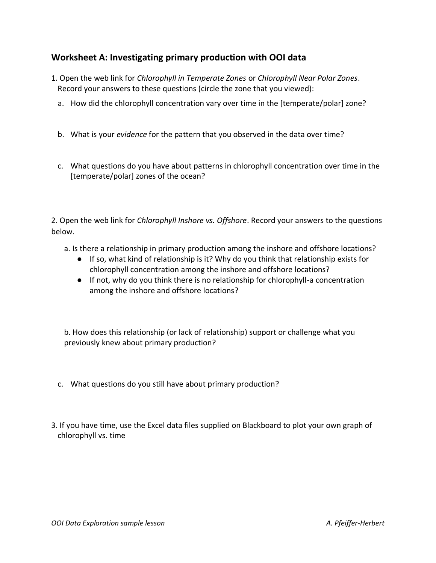# **Worksheet A: Investigating primary production with OOI data**

- 1. Open the web link for *Chlorophyll in Temperate Zones* or *Chlorophyll Near Polar Zones*. Record your answers to these questions (circle the zone that you viewed):
	- a. How did the chlorophyll concentration vary over time in the [temperate/polar] zone?
	- b. What is your *evidence* for the pattern that you observed in the data over time?
	- c. What questions do you have about patterns in chlorophyll concentration over time in the [temperate/polar] zones of the ocean?

2. Open the web link for *Chlorophyll Inshore vs. Offshore*. Record your answers to the questions below.

- a. Is there a relationship in primary production among the inshore and offshore locations?
	- If so, what kind of relationship is it? Why do you think that relationship exists for chlorophyll concentration among the inshore and offshore locations?
	- If not, why do you think there is no relationship for chlorophyll-a concentration among the inshore and offshore locations?

b. How does this relationship (or lack of relationship) support or challenge what you previously knew about primary production?

- c. What questions do you still have about primary production?
- 3. If you have time, use the Excel data files supplied on Blackboard to plot your own graph of chlorophyll vs. time